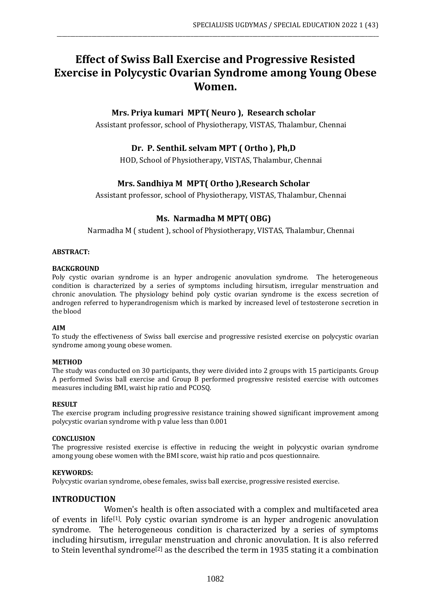# **Effect of Swiss Ball Exercise and Progressive Resisted Exercise in Polycystic Ovarian Syndrome among Young Obese Women.**

\_\_\_\_\_\_\_\_\_\_\_\_\_\_\_\_\_\_\_\_\_\_\_\_\_\_\_\_\_\_\_\_\_\_\_\_\_\_\_\_\_\_\_\_\_\_\_\_\_\_\_\_\_\_\_\_\_\_\_\_\_\_\_\_\_\_\_\_\_\_\_\_\_\_\_\_\_\_\_\_\_\_\_\_\_\_\_\_\_\_\_\_\_\_\_\_\_\_\_\_\_\_\_\_\_\_\_\_\_\_\_\_\_\_\_\_\_\_\_\_

# **Mrs. Priya kumari MPT( Neuro ), Research scholar**

Assistant professor, school of Physiotherapy, VISTAS, Thalambur, Chennai

# **Dr. P. SenthiL selvam MPT ( Ortho ), Ph,D**

HOD, School of Physiotherapy, VISTAS, Thalambur, Chennai

# **Mrs. Sandhiya M MPT( Ortho ),Research Scholar**

Assistant professor, school of Physiotherapy, VISTAS, Thalambur, Chennai

### **Ms. Narmadha M MPT( OBG)**

Narmadha M ( student ), school of Physiotherapy, VISTAS, Thalambur, Chennai

#### **ABSTRACT:**

#### **BACKGROUND**

Poly cystic ovarian syndrome is an hyper androgenic anovulation syndrome. The heterogeneous condition is characterized by a series of symptoms including hirsutism, irregular menstruation and chronic anovulation. The physiology behind poly cystic ovarian syndrome is the excess secretion of androgen referred to hyperandrogenism which is marked by increased level of testosterone secretion in the blood

#### **AIM**

To study the effectiveness of Swiss ball exercise and progressive resisted exercise on polycystic ovarian syndrome among young obese women.

#### **METHOD**

The study was conducted on 30 participants, they were divided into 2 groups with 15 participants. Group A performed Swiss ball exercise and Group B performed progressive resisted exercise with outcomes measures including BMI, waist hip ratio and PCOSQ.

#### **RESULT**

The exercise program including progressive resistance training showed significant improvement among polycystic ovarian syndrome with p value less than 0.001

#### **CONCLUSION**

The progressive resisted exercise is effective in reducing the weight in polycystic ovarian syndrome among young obese women with the BMI score, waist hip ratio and pcos questionnaire.

#### **KEYWORDS:**

Polycystic ovarian syndrome, obese females, swiss ball exercise, progressive resisted exercise.

#### **INTRODUCTION**

Women's health is often associated with a complex and multifaceted area of events in life[1]. Poly cystic ovarian syndrome is an hyper androgenic anovulation syndrome. The heterogeneous condition is characterized by a series of symptoms including hirsutism, irregular menstruation and chronic anovulation. It is also referred to Stein leventhal syndrome<sup>[2]</sup> as the described the term in 1935 stating it a combination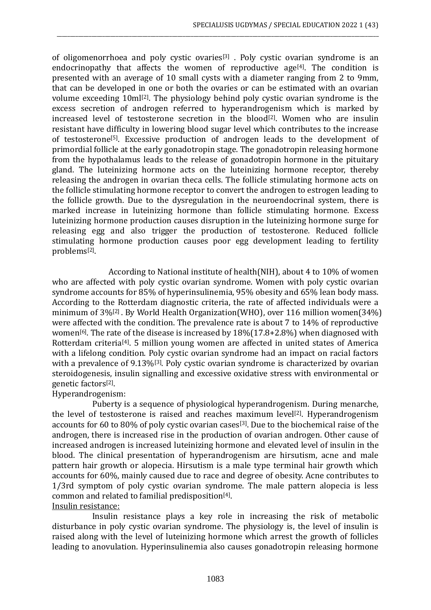of oligomenorrhoea and poly cystic ovaries[3] . Poly cystic ovarian syndrome is an endocrinopathy that affects the women of reproductive age<sup>[4]</sup>. The condition is presented with an average of 10 small cysts with a diameter ranging from 2 to 9mm, that can be developed in one or both the ovaries or can be estimated with an ovarian volume exceeding 10ml[2]. The physiology behind poly cystic ovarian syndrome is the excess secretion of androgen referred to hyperandrogenism which is marked by increased level of testosterone secretion in the blood<sup>[2]</sup>. Women who are insulin resistant have difficulty in lowering blood sugar level which contributes to the increase of testosterone[5]. Excessive production of androgen leads to the development of primordial follicle at the early gonadotropin stage. The gonadotropin releasing hormone from the hypothalamus leads to the release of gonadotropin hormone in the pituitary gland. The luteinizing hormone acts on the luteinizing hormone receptor, thereby releasing the androgen in ovarian theca cells. The follicle stimulating hormone acts on the follicle stimulating hormone receptor to convert the androgen to estrogen leading to the follicle growth. Due to the dysregulation in the neuroendocrinal system, there is marked increase in luteinizing hormone than follicle stimulating hormone. Excess luteinizing hormone production causes disruption in the luteinizing hormone surge for releasing egg and also trigger the production of testosterone. Reduced follicle stimulating hormone production causes poor egg development leading to fertility problems[2] .

\_\_\_\_\_\_\_\_\_\_\_\_\_\_\_\_\_\_\_\_\_\_\_\_\_\_\_\_\_\_\_\_\_\_\_\_\_\_\_\_\_\_\_\_\_\_\_\_\_\_\_\_\_\_\_\_\_\_\_\_\_\_\_\_\_\_\_\_\_\_\_\_\_\_\_\_\_\_\_\_\_\_\_\_\_\_\_\_\_\_\_\_\_\_\_\_\_\_\_\_\_\_\_\_\_\_\_\_\_\_\_\_\_\_\_\_\_\_\_\_

According to National institute of health(NIH), about 4 to 10% of women who are affected with poly cystic ovarian syndrome. Women with poly cystic ovarian syndrome accounts for 85% of hyperinsulinemia, 95% obesity and 65% lean body mass. According to the Rotterdam diagnostic criteria, the rate of affected individuals were a minimum of 3%[2] . By World Health Organization(WHO), over 116 million women(34%) were affected with the condition. The prevalence rate is about 7 to 14% of reproductive women<sup>[6]</sup>. The rate of the disease is increased by  $18\frac{1}{17.8}+2.8\%$  when diagnosed with Rotterdam criteria[4]. 5 million young women are affected in united states of America with a lifelong condition. Poly cystic ovarian syndrome had an impact on racial factors with a prevalence of 9.13%<sup>[3]</sup>. Poly cystic ovarian syndrome is characterized by ovarian steroidogenesis, insulin signalling and excessive oxidative stress with environmental or genetic factors[2] .

# Hyperandrogenism:

 Puberty is a sequence of physiological hyperandrogenism. During menarche, the level of testosterone is raised and reaches maximum level[2]. Hyperandrogenism accounts for 60 to 80% of poly cystic ovarian cases[3]. Due to the biochemical raise of the androgen, there is increased rise in the production of ovarian androgen. Other cause of increased androgen is increased luteinizing hormone and elevated level of insulin in the blood. The clinical presentation of hyperandrogenism are hirsutism, acne and male pattern hair growth or alopecia. Hirsutism is a male type terminal hair growth which accounts for 60%, mainly caused due to race and degree of obesity. Acne contributes to 1/3rd symptom of poly cystic ovarian syndrome. The male pattern alopecia is less common and related to familial predisposition[4] . Insulin resistance:

 Insulin resistance plays a key role in increasing the risk of metabolic disturbance in poly cystic ovarian syndrome. The physiology is, the level of insulin is raised along with the level of luteinizing hormone which arrest the growth of follicles leading to anovulation. Hyperinsulinemia also causes gonadotropin releasing hormone

#### 1083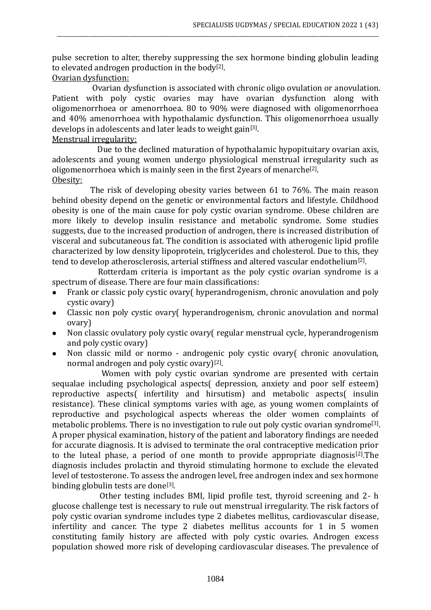pulse secretion to alter, thereby suppressing the sex hormone binding globulin leading to elevated androgen production in the body<sup>[2]</sup>.

\_\_\_\_\_\_\_\_\_\_\_\_\_\_\_\_\_\_\_\_\_\_\_\_\_\_\_\_\_\_\_\_\_\_\_\_\_\_\_\_\_\_\_\_\_\_\_\_\_\_\_\_\_\_\_\_\_\_\_\_\_\_\_\_\_\_\_\_\_\_\_\_\_\_\_\_\_\_\_\_\_\_\_\_\_\_\_\_\_\_\_\_\_\_\_\_\_\_\_\_\_\_\_\_\_\_\_\_\_\_\_\_\_\_\_\_\_\_\_\_

Ovarian dysfunction:

 Ovarian dysfunction is associated with chronic oligo ovulation or anovulation. Patient with poly cystic ovaries may have ovarian dysfunction along with oligomenorrhoea or amenorrhoea. 80 to 90% were diagnosed with oligomenorrhoea and 40% amenorrhoea with hypothalamic dysfunction. This oligomenorrhoea usually develops in adolescents and later leads to weight gain<sup>[3]</sup>. Menstrual irregularity:

Due to the declined maturation of hypothalamic hypopituitary ovarian axis, adolescents and young women undergo physiological menstrual irregularity such as oligomenorrhoea which is mainly seen in the first 2 years of menarche<sup>[2]</sup>. Obesity:

 The risk of developing obesity varies between 61 to 76%. The main reason behind obesity depend on the genetic or environmental factors and lifestyle. Childhood obesity is one of the main cause for poly cystic ovarian syndrome. Obese children are more likely to develop insulin resistance and metabolic syndrome. Some studies suggests, due to the increased production of androgen, there is increased distribution of visceral and subcutaneous fat. The condition is associated with atherogenic lipid profile characterized by low density lipoprotein, triglycerides and cholesterol. Due to this, they tend to develop atherosclerosis, arterial stiffness and altered vascular endothelium<sup>[2]</sup>.

 Rotterdam criteria is important as the poly cystic ovarian syndrome is a spectrum of disease. There are four main classifications:

- ⚫ Frank or classic poly cystic ovary( hyperandrogenism, chronic anovulation and poly cystic ovary)
- ⚫ Classic non poly cystic ovary( hyperandrogenism, chronic anovulation and normal ovary)
- ⚫ Non classic ovulatory poly cystic ovary( regular menstrual cycle, hyperandrogenism and poly cystic ovary)
- ⚫ Non classic mild or normo androgenic poly cystic ovary( chronic anovulation, normal androgen and poly cystic ovary)<sup>[2]</sup>.

 Women with poly cystic ovarian syndrome are presented with certain sequalae including psychological aspects( depression, anxiety and poor self esteem) reproductive aspects( infertility and hirsutism) and metabolic aspects( insulin resistance). These clinical symptoms varies with age, as young women complaints of reproductive and psychological aspects whereas the older women complaints of metabolic problems. There is no investigation to rule out poly cystic ovarian syndrome<sup>[3]</sup>. A proper physical examination, history of the patient and laboratory findings are needed for accurate diagnosis. It is advised to terminate the oral contraceptive medication prior to the luteal phase, a period of one month to provide appropriate diagnosis<sup>[2]</sup>. The diagnosis includes prolactin and thyroid stimulating hormone to exclude the elevated level of testosterone. To assess the androgen level, free androgen index and sex hormone binding globulin tests are done<sup>[3]</sup>.

 Other testing includes BMI, lipid profile test, thyroid screening and 2- h glucose challenge test is necessary to rule out menstrual irregularity. The risk factors of poly cystic ovarian syndrome includes type 2 diabetes mellitus, cardiovascular disease, infertility and cancer. The type 2 diabetes mellitus accounts for 1 in 5 women constituting family history are affected with poly cystic ovaries. Androgen excess population showed more risk of developing cardiovascular diseases. The prevalence of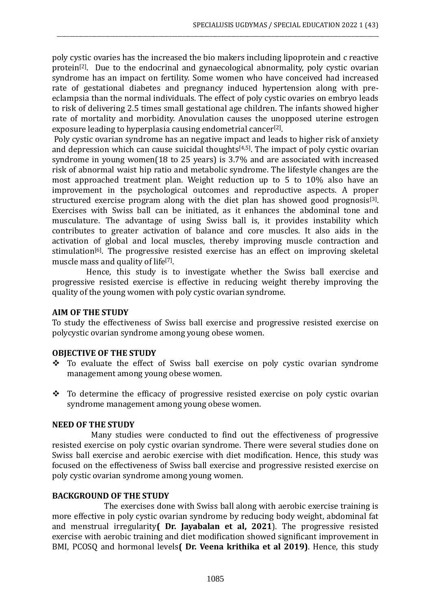poly cystic ovaries has the increased the bio makers including lipoprotein and c reactive protein[2]. Due to the endocrinal and gynaecological abnormality, poly cystic ovarian syndrome has an impact on fertility. Some women who have conceived had increased rate of gestational diabetes and pregnancy induced hypertension along with preeclampsia than the normal individuals. The effect of poly cystic ovaries on embryo leads to risk of delivering 2.5 times small gestational age children. The infants showed higher rate of mortality and morbidity. Anovulation causes the unopposed uterine estrogen exposure leading to hyperplasia causing endometrial cancer<sup>[2]</sup>.

\_\_\_\_\_\_\_\_\_\_\_\_\_\_\_\_\_\_\_\_\_\_\_\_\_\_\_\_\_\_\_\_\_\_\_\_\_\_\_\_\_\_\_\_\_\_\_\_\_\_\_\_\_\_\_\_\_\_\_\_\_\_\_\_\_\_\_\_\_\_\_\_\_\_\_\_\_\_\_\_\_\_\_\_\_\_\_\_\_\_\_\_\_\_\_\_\_\_\_\_\_\_\_\_\_\_\_\_\_\_\_\_\_\_\_\_\_\_\_\_

Poly cystic ovarian syndrome has an negative impact and leads to higher risk of anxiety and depression which can cause suicidal thoughts $[4,5]$ . The impact of poly cystic ovarian syndrome in young women(18 to 25 years) is 3.7% and are associated with increased risk of abnormal waist hip ratio and metabolic syndrome. The lifestyle changes are the most approached treatment plan. Weight reduction up to 5 to 10% also have an improvement in the psychological outcomes and reproductive aspects. A proper structured exercise program along with the diet plan has showed good prognosis<sup>[3]</sup>. Exercises with Swiss ball can be initiated, as it enhances the abdominal tone and musculature. The advantage of using Swiss ball is, it provides instability which contributes to greater activation of balance and core muscles. It also aids in the activation of global and local muscles, thereby improving muscle contraction and stimulation<sup>[6]</sup>. The progressive resisted exercise has an effect on improving skeletal muscle mass and quality of life<sup>[7]</sup>.

 Hence, this study is to investigate whether the Swiss ball exercise and progressive resisted exercise is effective in reducing weight thereby improving the quality of the young women with poly cystic ovarian syndrome.

# **AIM OF THE STUDY**

To study the effectiveness of Swiss ball exercise and progressive resisted exercise on polycystic ovarian syndrome among young obese women.

### **OBJECTIVE OF THE STUDY**

- ❖ To evaluate the effect of Swiss ball exercise on poly cystic ovarian syndrome management among young obese women.
- ❖ To determine the efficacy of progressive resisted exercise on poly cystic ovarian syndrome management among young obese women.

#### **NEED OF THE STUDY**

Many studies were conducted to find out the effectiveness of progressive resisted exercise on poly cystic ovarian syndrome. There were several studies done on Swiss ball exercise and aerobic exercise with diet modification. Hence, this study was focused on the effectiveness of Swiss ball exercise and progressive resisted exercise on poly cystic ovarian syndrome among young women.

# **BACKGROUND OF THE STUDY**

The exercises done with Swiss ball along with aerobic exercise training is more effective in poly cystic ovarian syndrome by reducing body weight, abdominal fat and menstrual irregularity**( Dr. Jayabalan et al, 2021**). The progressive resisted exercise with aerobic training and diet modification showed significant improvement in BMI, PCOSQ and hormonal levels**( Dr. Veena krithika et al 2019)**. Hence, this study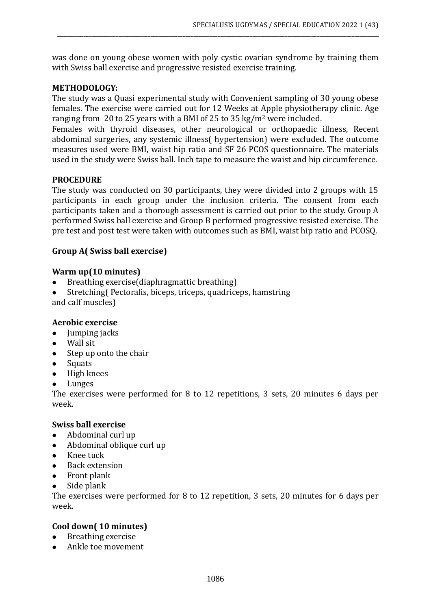was done on young obese women with poly cystic ovarian syndrome by training them with Swiss ball exercise and progressive resisted exercise training.

\_\_\_\_\_\_\_\_\_\_\_\_\_\_\_\_\_\_\_\_\_\_\_\_\_\_\_\_\_\_\_\_\_\_\_\_\_\_\_\_\_\_\_\_\_\_\_\_\_\_\_\_\_\_\_\_\_\_\_\_\_\_\_\_\_\_\_\_\_\_\_\_\_\_\_\_\_\_\_\_\_\_\_\_\_\_\_\_\_\_\_\_\_\_\_\_\_\_\_\_\_\_\_\_\_\_\_\_\_\_\_\_\_\_\_\_\_\_\_\_

# **METHODOLOGY:**

The study was a Quasi experimental study with Convenient sampling of 30 young obese females. The exercise were carried out for 12 Weeks at Apple physiotherapy clinic. Age ranging from 20 to 25 years with a BMI of 25 to 35 kg/m<sup>2</sup> were included.

Females with thyroid diseases, other neurological or orthopaedic illness, Recent abdominal surgeries, any systemic illness( hypertension) were excluded. The outcome measures used were BMI, waist hip ratio and SF 26 PCOS questionnaire. The materials used in the study were Swiss ball. Inch tape to measure the waist and hip circumference.

### **PROCEDURE**

The study was conducted on 30 participants, they were divided into 2 groups with 15 participants in each group under the inclusion criteria. The consent from each participants taken and a thorough assessment is carried out prior to the study. Group A performed Swiss ball exercise and Group B performed progressive resisted exercise. The pre test and post test were taken with outcomes such as BMI, waist hip ratio and PCOSQ.

### **Group A( Swiss ball exercise)**

### **Warm up(10 minutes)**

- ⚫ Breathing exercise(diaphragmattic breathing)
- ⚫ Stretching( Pectoralis, biceps, triceps, quadriceps, hamstring
- and calf muscles)

# **Aerobic exercise**

- ⚫ Jumping jacks
- Wall sit
- Step up onto the chair
- Squats
- ⚫ High knees
- **Lunges**

The exercises were performed for 8 to 12 repetitions, 3 sets, 20 minutes 6 days per week.

#### **Swiss ball exercise**

- ⚫ Abdominal curl up
- ⚫ Abdominal oblique curl up
- ⚫ Knee tuck
- ⚫ Back extension
- ⚫ Front plank
- ⚫ Side plank

The exercises were performed for 8 to 12 repetition, 3 sets, 20 minutes for 6 days per week.

# **Cool down( 10 minutes)**

- ⚫ Breathing exercise
- ⚫ Ankle toe movement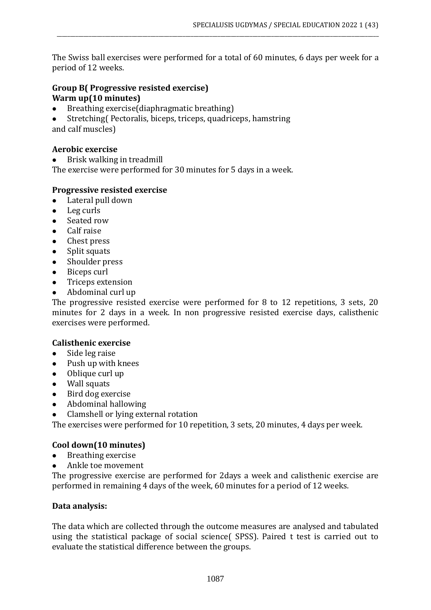The Swiss ball exercises were performed for a total of 60 minutes, 6 days per week for a period of 12 weeks.

\_\_\_\_\_\_\_\_\_\_\_\_\_\_\_\_\_\_\_\_\_\_\_\_\_\_\_\_\_\_\_\_\_\_\_\_\_\_\_\_\_\_\_\_\_\_\_\_\_\_\_\_\_\_\_\_\_\_\_\_\_\_\_\_\_\_\_\_\_\_\_\_\_\_\_\_\_\_\_\_\_\_\_\_\_\_\_\_\_\_\_\_\_\_\_\_\_\_\_\_\_\_\_\_\_\_\_\_\_\_\_\_\_\_\_\_\_\_\_\_

# **Group B( Progressive resisted exercise) Warm up(10 minutes)**

- ⚫ Breathing exercise(diaphragmatic breathing)
- ⚫ Stretching( Pectoralis, biceps, triceps, quadriceps, hamstring and calf muscles)

### **Aerobic exercise**

● Brisk walking in treadmill

The exercise were performed for 30 minutes for 5 days in a week.

### **Progressive resisted exercise**

- ⚫ Lateral pull down
- ⚫ Leg curls
- Seated row
- ⚫ Calf raise
- ⚫ Chest press
- Split squats
- Shoulder press
- Biceps curl
- ⚫ Triceps extension
- ⚫ Abdominal curl up

The progressive resisted exercise were performed for 8 to 12 repetitions, 3 sets, 20 minutes for 2 days in a week. In non progressive resisted exercise days, calisthenic exercises were performed.

#### **Calisthenic exercise**

- ⚫ Side leg raise
- ⚫ Push up with knees
- Oblique curl up
- ⚫ Wall squats
- ⚫ Bird dog exercise
- ⚫ Abdominal hallowing
- ⚫ Clamshell or lying external rotation

The exercises were performed for 10 repetition, 3 sets, 20 minutes, 4 days per week.

#### **Cool down(10 minutes)**

- ⚫ Breathing exercise
- ⚫ Ankle toe movement

The progressive exercise are performed for 2days a week and calisthenic exercise are performed in remaining 4 days of the week, 60 minutes for a period of 12 weeks.

#### **Data analysis:**

The data which are collected through the outcome measures are analysed and tabulated using the statistical package of social science( SPSS). Paired t test is carried out to evaluate the statistical difference between the groups.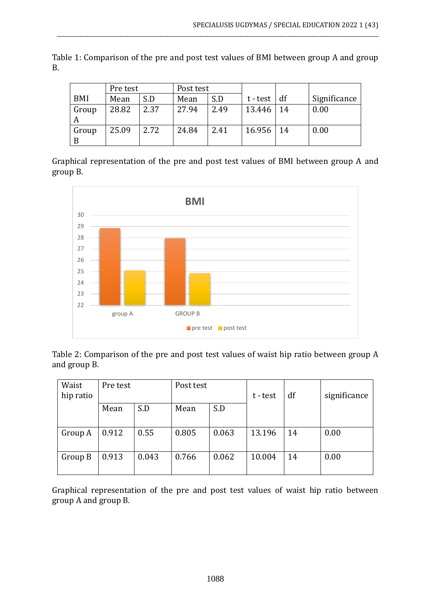|            | Pre test |      | Post test |      |          |     |              |
|------------|----------|------|-----------|------|----------|-----|--------------|
| BMI        | Mean     | S.D  | Mean      | S.D  | t - test | df  | Significance |
| Group<br>A | 28.82    | 2.37 | 27.94     | 2.49 | 13.446   | -14 | 0.00         |
| Group<br>B | 25.09    | 2.72 | 24.84     | 2.41 | 16.956   | 14  | 0.00         |

Table 1: Comparison of the pre and post test values of BMI between group A and group B.

\_\_\_\_\_\_\_\_\_\_\_\_\_\_\_\_\_\_\_\_\_\_\_\_\_\_\_\_\_\_\_\_\_\_\_\_\_\_\_\_\_\_\_\_\_\_\_\_\_\_\_\_\_\_\_\_\_\_\_\_\_\_\_\_\_\_\_\_\_\_\_\_\_\_\_\_\_\_\_\_\_\_\_\_\_\_\_\_\_\_\_\_\_\_\_\_\_\_\_\_\_\_\_\_\_\_\_\_\_\_\_\_\_\_\_\_\_\_\_\_

Graphical representation of the pre and post test values of BMI between group A and group B.



Table 2: Comparison of the pre and post test values of waist hip ratio between group A and group B.

| Waist     | Pre test |       | Post test |       |          |    |              |
|-----------|----------|-------|-----------|-------|----------|----|--------------|
| hip ratio |          |       |           |       | t - test | df | significance |
|           | Mean     | S.D   | Mean      | S.D   |          |    |              |
|           |          |       |           |       |          |    |              |
| Group A   | 0.912    | 0.55  | 0.805     | 0.063 | 13.196   | 14 | 0.00         |
|           |          |       |           |       |          |    |              |
| Group B   | 0.913    | 0.043 | 0.766     | 0.062 | 10.004   | 14 | 0.00         |
|           |          |       |           |       |          |    |              |

Graphical representation of the pre and post test values of waist hip ratio between group A and group B.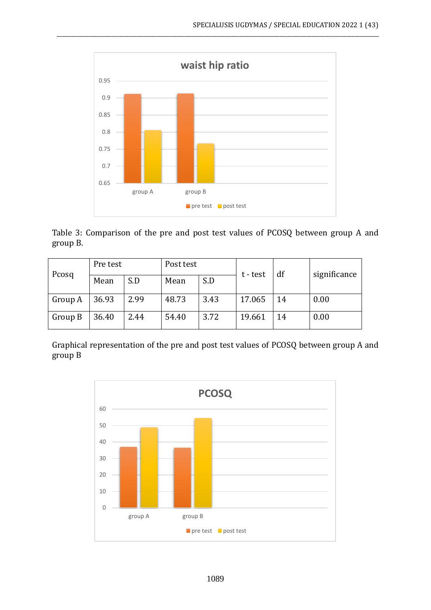

\_\_\_\_\_\_\_\_\_\_\_\_\_\_\_\_\_\_\_\_\_\_\_\_\_\_\_\_\_\_\_\_\_\_\_\_\_\_\_\_\_\_\_\_\_\_\_\_\_\_\_\_\_\_\_\_\_\_\_\_\_\_\_\_\_\_\_\_\_\_\_\_\_\_\_\_\_\_\_\_\_\_\_\_\_\_\_\_\_\_\_\_\_\_\_\_\_\_\_\_\_\_\_\_\_\_\_\_\_\_\_\_\_\_\_\_\_\_\_\_

Table 3: Comparison of the pre and post test values of PCOSQ between group A and group B.

| Pcosq   | Pre test |      | Post test |      | t - test | df | significance |
|---------|----------|------|-----------|------|----------|----|--------------|
|         | Mean     | S.D  | Mean      | S.D  |          |    |              |
| Group A | 36.93    | 2.99 | 48.73     | 3.43 | 17.065   | 14 | 0.00         |
| Group B | 36.40    | 2.44 | 54.40     | 3.72 | 19.661   | 14 | 0.00         |

Graphical representation of the pre and post test values of PCOSQ between group A and group B

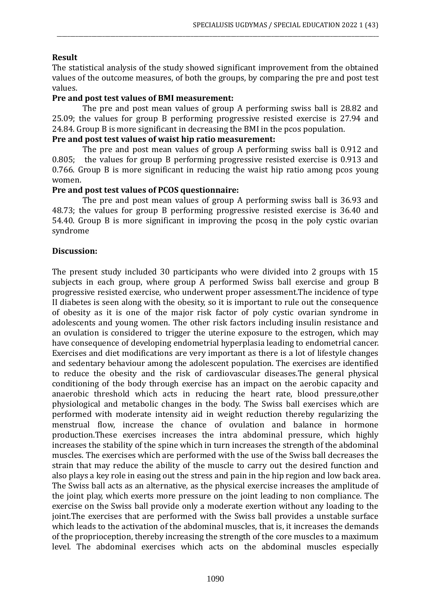# **Result**

The statistical analysis of the study showed significant improvement from the obtained values of the outcome measures, of both the groups, by comparing the pre and post test values.

\_\_\_\_\_\_\_\_\_\_\_\_\_\_\_\_\_\_\_\_\_\_\_\_\_\_\_\_\_\_\_\_\_\_\_\_\_\_\_\_\_\_\_\_\_\_\_\_\_\_\_\_\_\_\_\_\_\_\_\_\_\_\_\_\_\_\_\_\_\_\_\_\_\_\_\_\_\_\_\_\_\_\_\_\_\_\_\_\_\_\_\_\_\_\_\_\_\_\_\_\_\_\_\_\_\_\_\_\_\_\_\_\_\_\_\_\_\_\_\_

### **Pre and post test values of BMI measurement:**

The pre and post mean values of group A performing swiss ball is 28.82 and 25.09; the values for group B performing progressive resisted exercise is 27.94 and 24.84. Group B is more significant in decreasing the BMI in the pcos population.

### **Pre and post test values of waist hip ratio measurement:**

The pre and post mean values of group A performing swiss ball is 0.912 and 0.805; the values for group B performing progressive resisted exercise is 0.913 and 0.766. Group B is more significant in reducing the waist hip ratio among pcos young women.

### **Pre and post test values of PCOS questionnaire:**

The pre and post mean values of group A performing swiss ball is 36.93 and 48.73; the values for group B performing progressive resisted exercise is 36.40 and 54.40. Group B is more significant in improving the pcosq in the poly cystic ovarian syndrome

### **Discussion:**

The present study included 30 participants who were divided into 2 groups with 15 subjects in each group, where group A performed Swiss ball exercise and group B progressive resisted exercise, who underwent proper assessment.The incidence of type II diabetes is seen along with the obesity, so it is important to rule out the consequence of obesity as it is one of the major risk factor of poly cystic ovarian syndrome in adolescents and young women. The other risk factors including insulin resistance and an ovulation is considered to trigger the uterine exposure to the estrogen, which may have consequence of developing endometrial hyperplasia leading to endometrial cancer. Exercises and diet modifications are very important as there is a lot of lifestyle changes and sedentary behaviour among the adolescent population. The exercises are identified to reduce the obesity and the risk of cardiovascular diseases.The general physical conditioning of the body through exercise has an impact on the aerobic capacity and anaerobic threshold which acts in reducing the heart rate, blood pressure,other physiological and metabolic changes in the body. The Swiss ball exercises which are performed with moderate intensity aid in weight reduction thereby regularizing the menstrual flow, increase the chance of ovulation and balance in hormone production.These exercises increases the intra abdominal pressure, which highly increases the stability of the spine which in turn increases the strength of the abdominal muscles. The exercises which are performed with the use of the Swiss ball decreases the strain that may reduce the ability of the muscle to carry out the desired function and also plays a key role in easing out the stress and pain in the hip region and low back area. The Swiss ball acts as an alternative, as the physical exercise increases the amplitude of the joint play, which exerts more pressure on the joint leading to non compliance. The exercise on the Swiss ball provide only a moderate exertion without any loading to the joint.The exercises that are performed with the Swiss ball provides a unstable surface which leads to the activation of the abdominal muscles, that is, it increases the demands of the proprioception, thereby increasing the strength of the core muscles to a maximum level. The abdominal exercises which acts on the abdominal muscles especially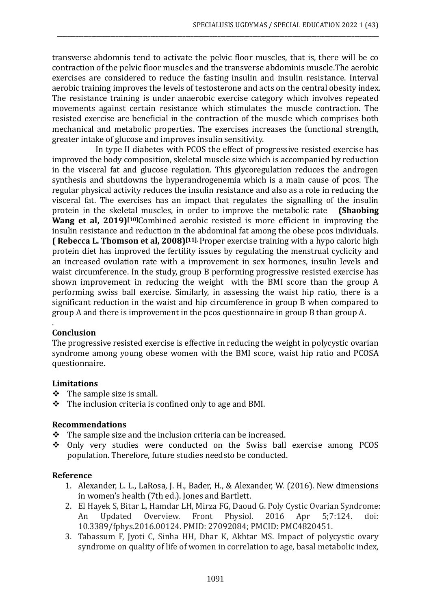transverse abdomnis tend to activate the pelvic floor muscles, that is, there will be co contraction of the pelvic floor muscles and the transverse abdominis muscle.The aerobic exercises are considered to reduce the fasting insulin and insulin resistance. Interval aerobic training improves the levels of testosterone and acts on the central obesity index. The resistance training is under anaerobic exercise category which involves repeated movements against certain resistance which stimulates the muscle contraction. The resisted exercise are beneficial in the contraction of the muscle which comprises both mechanical and metabolic properties. The exercises increases the functional strength, greater intake of glucose and improves insulin sensitivity.

\_\_\_\_\_\_\_\_\_\_\_\_\_\_\_\_\_\_\_\_\_\_\_\_\_\_\_\_\_\_\_\_\_\_\_\_\_\_\_\_\_\_\_\_\_\_\_\_\_\_\_\_\_\_\_\_\_\_\_\_\_\_\_\_\_\_\_\_\_\_\_\_\_\_\_\_\_\_\_\_\_\_\_\_\_\_\_\_\_\_\_\_\_\_\_\_\_\_\_\_\_\_\_\_\_\_\_\_\_\_\_\_\_\_\_\_\_\_\_\_

In type II diabetes with PCOS the effect of progressive resisted exercise has improved the body composition, skeletal muscle size which is accompanied by reduction in the visceral fat and glucose regulation. This glycoregulation reduces the androgen synthesis and shutdowns the hyperandrogenemia which is a main cause of pcos. The regular physical activity reduces the insulin resistance and also as a role in reducing the visceral fat. The exercises has an impact that regulates the signalling of the insulin protein in the skeletal muscles, in order to improve the metabolic rate **(Shaobing Wang et al, 2019)[10]**Combined aerobic resisted is more efficient in improving the insulin resistance and reduction in the abdominal fat among the obese pcos individuals. **( Rebecca L. Thomson et al, 2008)[11].** Proper exercise training with a hypo caloric high protein diet has improved the fertility issues by regulating the menstrual cyclicity and an increased ovulation rate with a improvement in sex hormones, insulin levels and waist circumference. In the study, group B performing progressive resisted exercise has shown improvement in reducing the weight with the BMI score than the group A performing swiss ball exercise. Similarly, in assessing the waist hip ratio, there is a significant reduction in the waist and hip circumference in group B when compared to group A and there is improvement in the pcos questionnaire in group B than group A.

# **Conclusion**

.

The progressive resisted exercise is effective in reducing the weight in polycystic ovarian syndrome among young obese women with the BMI score, waist hip ratio and PCOSA questionnaire.

#### **Limitations**

- ❖ The sample size is small.
- ❖ The inclusion criteria is confined only to age and BMI.

#### **Recommendations**

- ❖ The sample size and the inclusion criteria can be increased.
- ❖ Only very studies were conducted on the Swiss ball exercise among PCOS population. Therefore, future studies needsto be conducted.

# **Reference**

- 1. Alexander, L. L., LaRosa, J. H., Bader, H., & Alexander, W. (2016). New dimensions in women's health (7th ed.). Jones and Bartlett.
- 2. El Hayek S, Bitar L, Hamdar LH, Mirza FG, Daoud G. Poly Cystic Ovarian Syndrome: An Updated Overview. Front Physiol. 2016 Apr 5;7:124. doi: 10.3389/fphys.2016.00124. PMID: 27092084; PMCID: PMC4820451.
- 3. Tabassum F, Jyoti C, Sinha HH, Dhar K, Akhtar MS. Impact of polycystic ovary syndrome on quality of life of women in correlation to age, basal metabolic index,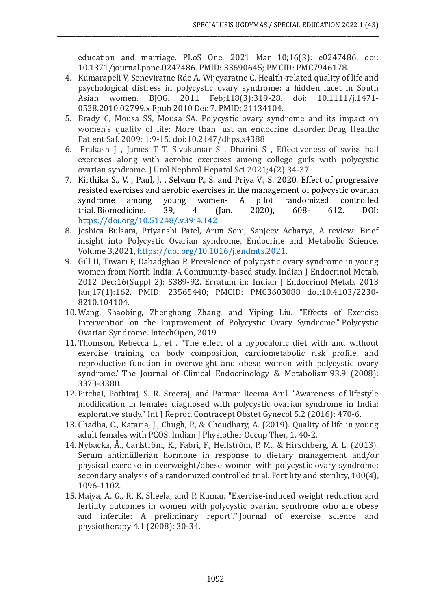education and marriage. PLoS One. 2021 Mar 10;16(3): e0247486, doi: 10.1371/journal.pone.0247486. PMID: 33690645; PMCID: PMC7946178.

4. Kumarapeli V, Seneviratne Rde A, Wijeyaratne C. Health-related quality of life and psychological distress in polycystic ovary syndrome: a hidden facet in South Asian women. BJOG. 2011 Feb;118(3):319-28. doi: 10.1111/j.1471- 0528.2010.02799.x Epub 2010 Dec 7. PMID: 21134104.

\_\_\_\_\_\_\_\_\_\_\_\_\_\_\_\_\_\_\_\_\_\_\_\_\_\_\_\_\_\_\_\_\_\_\_\_\_\_\_\_\_\_\_\_\_\_\_\_\_\_\_\_\_\_\_\_\_\_\_\_\_\_\_\_\_\_\_\_\_\_\_\_\_\_\_\_\_\_\_\_\_\_\_\_\_\_\_\_\_\_\_\_\_\_\_\_\_\_\_\_\_\_\_\_\_\_\_\_\_\_\_\_\_\_\_\_\_\_\_\_

- 5. Brady C, Mousa SS, Mousa SA. Polycystic ovary syndrome and its impact on women's quality of life: More than just an endocrine disorder. Drug Healthc Patient Saf. 2009; 1:9-15. doi:10.2147/dhps.s4388
- 6. Prakash J , James T T, Sivakumar S , Dharini S , Effectiveness of swiss ball exercises along with aerobic exercises among college girls with polycystic ovarian syndrome. J Urol Nephrol Hepatol Sci 2021;4(2):34-37
- 7. Kirthika S., V. , Paul, J. , Selvam P., S. and Priya V., S. 2020. Effect of progressive resisted exercises and aerobic exercises in the management of polycystic ovarian syndrome among young women- A pilot randomized controlled trial. Biomedicine. 39, 4 (Jan. 2020), 608- 612. DOI: <https://doi.org/10.51248/.v39i4.142>
- 8. Jeshica Bulsara, Priyanshi Patel, Arun Soni, Sanjeev Acharya, A review: Brief insight into Polycystic Ovarian syndrome, Endocrine and Metabolic Science, Volume 3,2021, [https://doi.org/10.1016/j.endmts.2021.](https://doi.org/10.1016/j.endmts.2021)
- 9. Gill H, Tiwari P, Dabadghao P. Prevalence of polycystic ovary syndrome in young women from North India: A Community-based study. Indian J Endocrinol Metab. 2012 Dec;16(Suppl 2): S389-92. Erratum in: Indian J Endocrinol Metab. 2013 Jan;17(1):162. PMID: 23565440; PMCID: PMC3603088 doi:10.4103/2230- 8210.104104.
- 10. Wang, Shaobing, Zhenghong Zhang, and Yiping Liu. "Effects of Exercise Intervention on the Improvement of Polycystic Ovary Syndrome." Polycystic Ovarian Syndrome. IntechOpen, 2019.
- 11. Thomson, Rebecca L., et . "The effect of a hypocaloric diet with and without exercise training on body composition, cardiometabolic risk profile, and reproductive function in overweight and obese women with polycystic ovary syndrome." The Journal of Clinical Endocrinology & Metabolism 93.9 (2008): 3373-3380.
- 12. Pitchai, Pothiraj, S. R. Sreeraj, and Parmar Reema Anil. "Awareness of lifestyle modification in females diagnosed with polycystic ovarian syndrome in India: explorative study." Int J Reprod Contracept Obstet Gynecol 5.2 (2016): 470-6.
- 13. Chadha, C., Kataria, J., Chugh, P., & Choudhary, A. (2019). Quality of life in young adult females with PCOS. Indian J Physiother Occup Ther, 1, 40-2.
- 14. Nybacka, Å., Carlström, K., Fabri, F., Hellström, P. M., & Hirschberg, A. L. (2013). Serum antimüllerian hormone in response to dietary management and/or physical exercise in overweight/obese women with polycystic ovary syndrome: secondary analysis of a randomized controlled trial. Fertility and sterility, 100(4), 1096-1102.
- 15. Maiya, A. G., R. K. Sheela, and P. Kumar. "Exercise-induced weight reduction and fertility outcomes in women with polycystic ovarian syndrome who are obese and infertile: A preliminary report'." Journal of exercise science and physiotherapy 4.1 (2008): 30-34.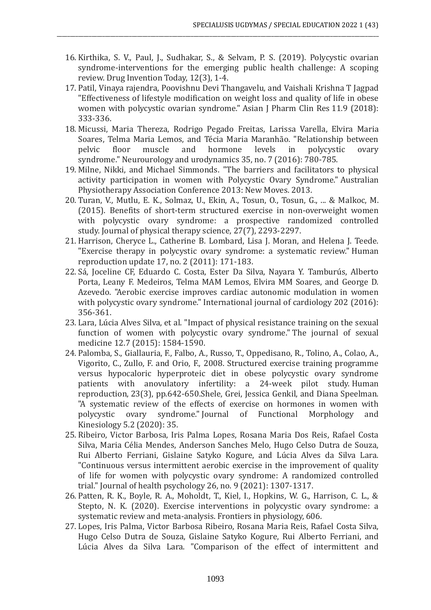16. Kirthika, S. V., Paul, J., Sudhakar, S., & Selvam, P. S. (2019). Polycystic ovarian syndrome-interventions for the emerging public health challenge: A scoping review. Drug Invention Today, 12(3), 1-4.

\_\_\_\_\_\_\_\_\_\_\_\_\_\_\_\_\_\_\_\_\_\_\_\_\_\_\_\_\_\_\_\_\_\_\_\_\_\_\_\_\_\_\_\_\_\_\_\_\_\_\_\_\_\_\_\_\_\_\_\_\_\_\_\_\_\_\_\_\_\_\_\_\_\_\_\_\_\_\_\_\_\_\_\_\_\_\_\_\_\_\_\_\_\_\_\_\_\_\_\_\_\_\_\_\_\_\_\_\_\_\_\_\_\_\_\_\_\_\_\_

- 17. Patil, Vinaya rajendra, Poovishnu Devi Thangavelu, and Vaishali Krishna T Jagpad "Effectiveness of lifestyle modification on weight loss and quality of life in obese women with polycystic ovarian syndrome." Asian J Pharm Clin Res 11.9 (2018): 333-336.
- 18. Micussi, Maria Thereza, Rodrigo Pegado Freitas, Larissa Varella, Elvira Maria Soares, Telma Maria Lemos, and Técia Maria Maranhão. "Relationship between pelvic floor muscle and hormone levels in polycystic ovary syndrome." Neurourology and urodynamics 35, no. 7 (2016): 780-785.
- 19. Milne, Nikki, and Michael Simmonds. "The barriers and facilitators to physical activity participation in women with Polycystic Ovary Syndrome." Australian Physiotherapy Association Conference 2013: New Moves. 2013.
- 20. Turan, V., Mutlu, E. K., Solmaz, U., Ekin, A., Tosun, O., Tosun, G., ... & Malkoc, M. (2015). Benefits of short-term structured exercise in non-overweight women with polycystic ovary syndrome: a prospective randomized controlled study. Journal of physical therapy science, 27(7), 2293-2297.
- 21. Harrison, Cheryce L., Catherine B. Lombard, Lisa J. Moran, and Helena J. Teede. "Exercise therapy in polycystic ovary syndrome: a systematic review." Human reproduction update 17, no. 2 (2011): 171-183.
- 22. Sá, Joceline CF, Eduardo C. Costa, Ester Da Silva, Nayara Y. Tamburús, Alberto Porta, Leany F. Medeiros, Telma MAM Lemos, Elvira MM Soares, and George D. Azevedo. "Aerobic exercise improves cardiac autonomic modulation in women with polycystic ovary syndrome." International journal of cardiology 202 (2016): 356-361.
- 23. Lara, Lúcia Alves Silva, et al. "Impact of physical resistance training on the sexual function of women with polycystic ovary syndrome." The journal of sexual medicine 12.7 (2015): 1584-1590.
- 24. Palomba, S., Giallauria, F., Falbo, A., Russo, T., Oppedisano, R., Tolino, A., Colao, A., Vigorito, C., Zullo, F. and Orio, F., 2008. Structured exercise training programme versus hypocaloric hyperproteic diet in obese polycystic ovary syndrome patients with anovulatory infertility: a 24-week pilot study. Human reproduction, 23(3), pp.642-650.Shele, Grei, Jessica Genkil, and Diana Speelman. "A systematic review of the effects of exercise on hormones in women with polycystic ovary syndrome." Journal of Functional Morphology and Kinesiology 5.2 (2020): 35.
- 25. Ribeiro, Victor Barbosa, Iris Palma Lopes, Rosana Maria Dos Reis, Rafael Costa Silva, Maria Célia Mendes, Anderson Sanches Melo, Hugo Celso Dutra de Souza, Rui Alberto Ferriani, Gislaine Satyko Kogure, and Lúcia Alves da Silva Lara. "Continuous versus intermittent aerobic exercise in the improvement of quality of life for women with polycystic ovary syndrome: A randomized controlled trial." Journal of health psychology 26, no. 9 (2021): 1307-1317.
- 26. Patten, R. K., Boyle, R. A., Moholdt, T., Kiel, I., Hopkins, W. G., Harrison, C. L., & Stepto, N. K. (2020). Exercise interventions in polycystic ovary syndrome: a systematic review and meta-analysis. Frontiers in physiology, 606.
- 27. Lopes, Iris Palma, Victor Barbosa Ribeiro, Rosana Maria Reis, Rafael Costa Silva, Hugo Celso Dutra de Souza, Gislaine Satyko Kogure, Rui Alberto Ferriani, and Lúcia Alves da Silva Lara. "Comparison of the effect of intermittent and